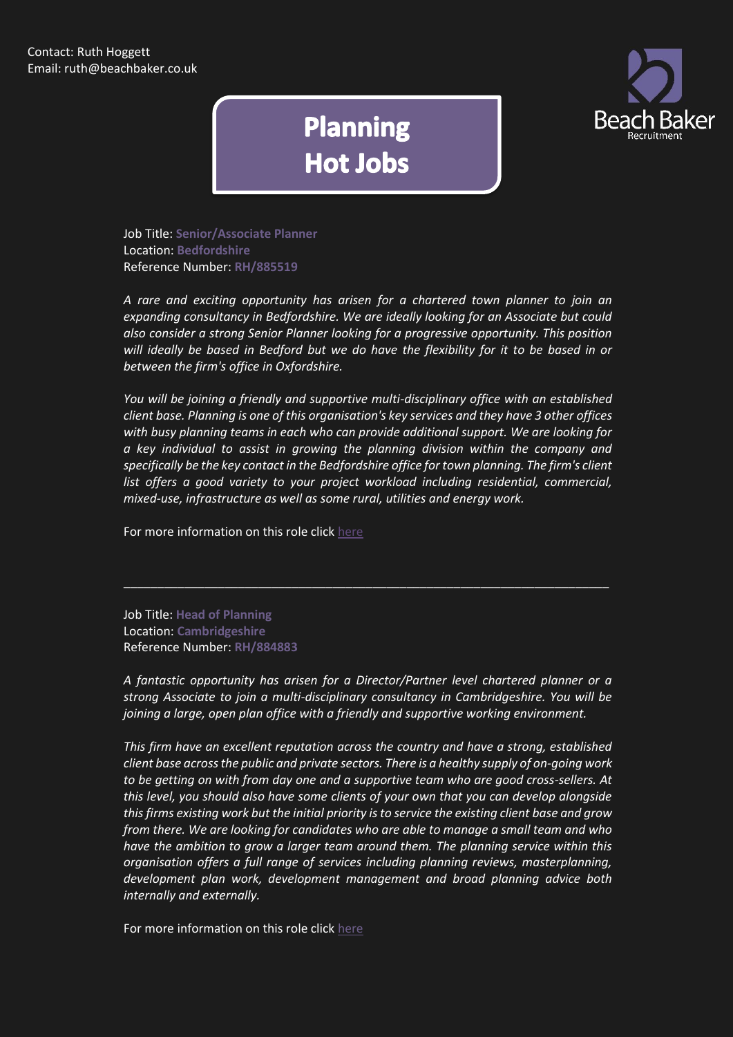

## **Planning Hot Jobs**

Job Title: **Senior/Associate Planner** Location: **Bedfordshire** Reference Number: **RH/885519**

*A rare and exciting opportunity has arisen for a chartered town planner to join an expanding consultancy in Bedfordshire. We are ideally looking for an Associate but could also consider a strong Senior Planner looking for a progressive opportunity. This position will ideally be based in Bedford but we do have the flexibility for it to be based in or between the firm's office in Oxfordshire.*

*You will be joining a friendly and supportive multi-disciplinary office with an established client base. Planning is one of this organisation's key services and they have 3 other offices with busy planning teams in each who can provide additional support. We are looking for a key individual to assist in growing the planning division within the company and specifically be the key contact in the Bedfordshire office for town planning. The firm's client*  list offers a good variety to your project workload including residential, commercial, *mixed-use, infrastructure as well as some rural, utilities and energy work.*

For more information on this role click [here](http://www.beachbaker.co.uk/jobs/senior-associate-planner-bedfordshire-bedfordshire/971-1/)

Job Title: **Head of Planning** Location: **Cambridgeshire** Reference Number: **RH/884883**

*A fantastic opportunity has arisen for a Director/Partner level chartered planner or a strong Associate to join a multi-disciplinary consultancy in Cambridgeshire. You will be joining a large, open plan office with a friendly and supportive working environment.*

\_\_\_\_\_\_\_\_\_\_\_\_\_\_\_\_\_\_\_\_\_\_\_\_\_\_\_\_\_\_\_\_\_\_\_\_\_\_\_\_\_\_\_\_\_\_\_\_\_\_\_\_\_\_\_\_\_\_\_\_\_\_\_\_\_\_\_\_\_\_\_\_

*This firm have an excellent reputation across the country and have a strong, established client base across the public and private sectors. There is a healthy supply of on-going work to be getting on with from day one and a supportive team who are good cross-sellers. At this level, you should also have some clients of your own that you can develop alongside this firms existing work but the initial priority is to service the existing client base and grow from there. We are looking for candidates who are able to manage a small team and who have the ambition to grow a larger team around them. The planning service within this organisation offers a full range of services including planning reviews, masterplanning, development plan work, development management and broad planning advice both internally and externally.*

For more information on this role click [here](http://www.beachbaker.co.uk/jobs/head-of-planning-cambridgeshire-cambridgeshire/887-1/)